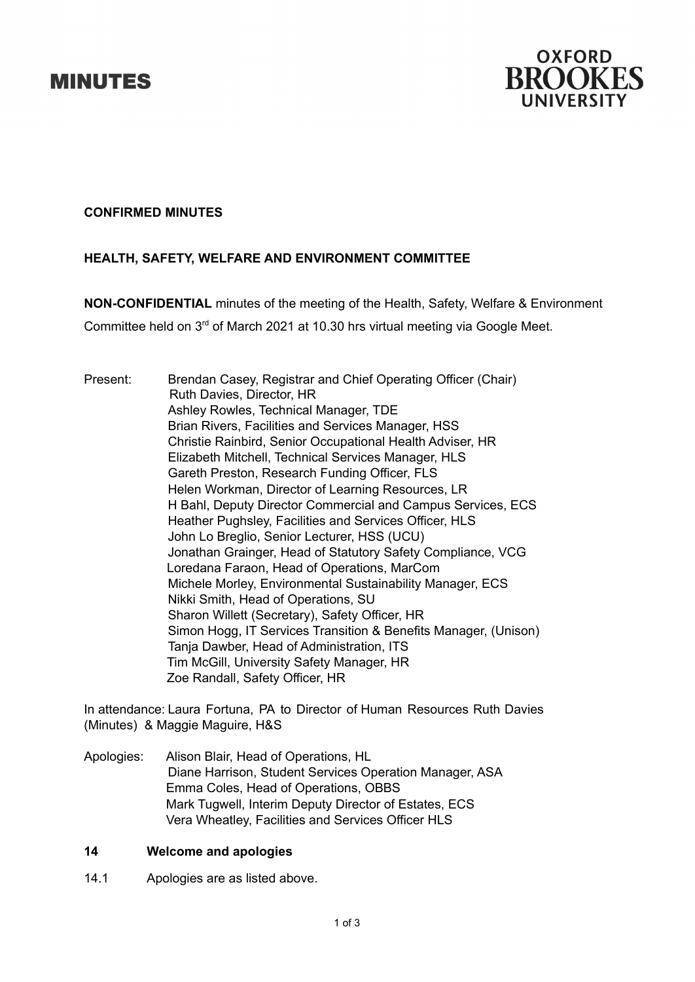# **MINUTES**



## **CONFIRMED MINUTES**

# **HEALTH, SAFETY, WELFARE AND ENVIRONMENT COMMITTEE**

**NON-CONFIDENTIAL** minutes of the meeting of the Health, Safety, Welfare & Environment Committee held on 3<sup>rd</sup> of March 2021 at 10.30 hrs virtual meeting via Google Meet.

Present: Brendan Casey, Registrar and Chief Operating Officer (Chair) Ruth Davies, Director, HR Ashley Rowles, Technical Manager, TDE Brian Rivers, Facilities and Services Manager, HSS Christie Rainbird, Senior Occupational Health Adviser, HR Elizabeth Mitchell, Technical Services Manager, HLS Gareth Preston, Research Funding Officer, FLS Helen Workman, Director of Learning Resources, LR H Bahl, Deputy Director Commercial and Campus Services, ECS Heather Pughsley, Facilities and Services Officer, HLS John Lo Breglio, Senior Lecturer, HSS (UCU) Jonathan Grainger, Head of Statutory Safety Compliance, VCG Loredana Faraon, Head of Operations, MarCom Michele Morley, Environmental Sustainability Manager, ECS Nikki Smith, Head of Operations, SU Sharon Willett (Secretary), Safety Officer, HR Simon Hogg, IT Services Transition & Benefits Manager, (Unison) Tanja Dawber, Head of Administration, ITS Tim McGill, University Safety Manager, HR Zoe Randall, Safety Officer, HR

In attendance: Laura Fortuna, PA to Director of Human Resources Ruth Davies (Minutes) & Maggie Maguire, H&S

Apologies: Alison Blair, Head of Operations, HL Diane Harrison, Student Services Operation Manager, ASA Emma Coles, Head of Operations, OBBS Mark Tugwell, Interim Deputy Director of Estates, ECS Vera Wheatley, Facilities and Services Officer HLS

### **14 Welcome and apologies**

14.1 Apologies are as listed above.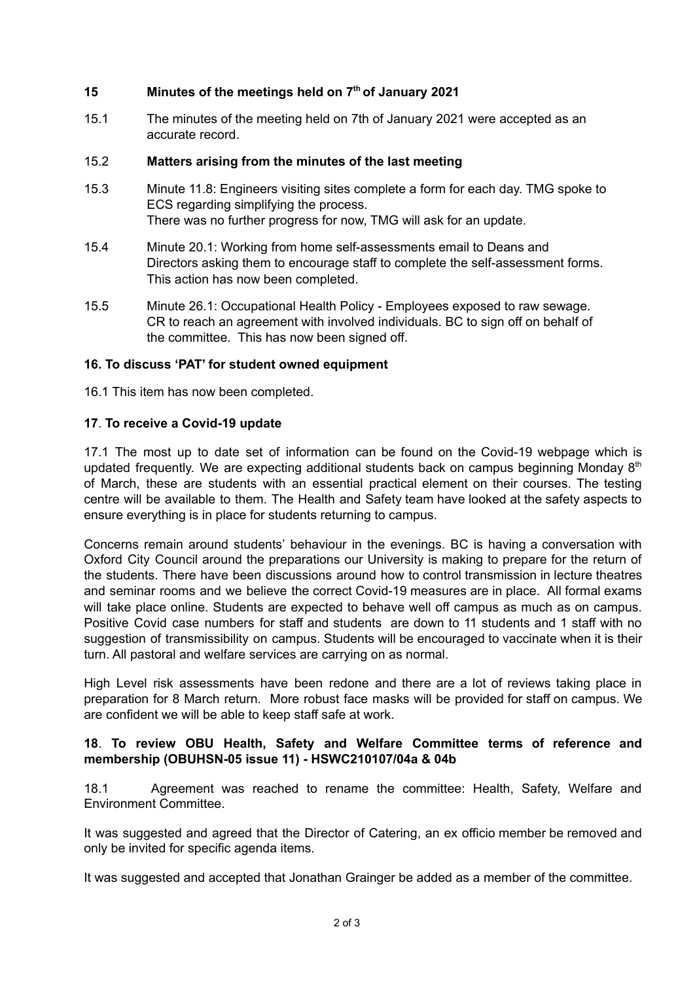## **15 Minutes of the meetings held on 7 th of January 2021**

15.1 The minutes of the meeting held on 7th of January 2021 were accepted as an accurate record.

## 15.2 **Matters arising from the minutes of the last meeting**

- 15.3 Minute 11.8: Engineers visiting sites complete a form for each day. TMG spoke to ECS regarding simplifying the process. There was no further progress for now, TMG will ask for an update.
- 15.4 Minute 20.1: Working from home self-assessments email to Deans and Directors asking them to encourage staff to complete the self-assessment forms. This action has now been completed.
- 15.5 Minute 26.1: Occupational Health Policy Employees exposed to raw sewage. CR to reach an agreement with involved individuals. BC to sign off on behalf of the committee. This has now been signed off.

## **16. To discuss 'PAT' for student owned equipment**

16.1 This item has now been completed.

## **17**. **To receive a Covid-19 update**

17.1 The most up to date set of information can be found on the Covid-19 webpage which is updated frequently. We are expecting additional students back on campus beginning Monday 8<sup>th</sup> of March, these are students with an essential practical element on their courses. The testing centre will be available to them. The Health and Safety team have looked at the safety aspects to ensure everything is in place for students returning to campus.

Concerns remain around students' behaviour in the evenings. BC is having a conversation with Oxford City Council around the preparations our University is making to prepare for the return of the students. There have been discussions around how to control transmission in lecture theatres and seminar rooms and we believe the correct Covid-19 measures are in place. All formal exams will take place online. Students are expected to behave well off campus as much as on campus. Positive Covid case numbers for staff and students are down to 11 students and 1 staff with no suggestion of transmissibility on campus. Students will be encouraged to vaccinate when it is their turn. All pastoral and welfare services are carrying on as normal.

High Level risk assessments have been redone and there are a lot of reviews taking place in preparation for 8 March return. More robust face masks will be provided for staff on campus. We are confident we will be able to keep staff safe at work.

### **18**. **To review OBU Health, Safety and Welfare Committee terms of reference and membership (OBUHSN-05 issue 11) - HSWC210107/04a & 04b**

18.1 Agreement was reached to rename the committee: Health, Safety, Welfare and Environment Committee.

It was suggested and agreed that the Director of Catering, an ex officio member be removed and only be invited for specific agenda items.

It was suggested and accepted that Jonathan Grainger be added as a member of the committee.